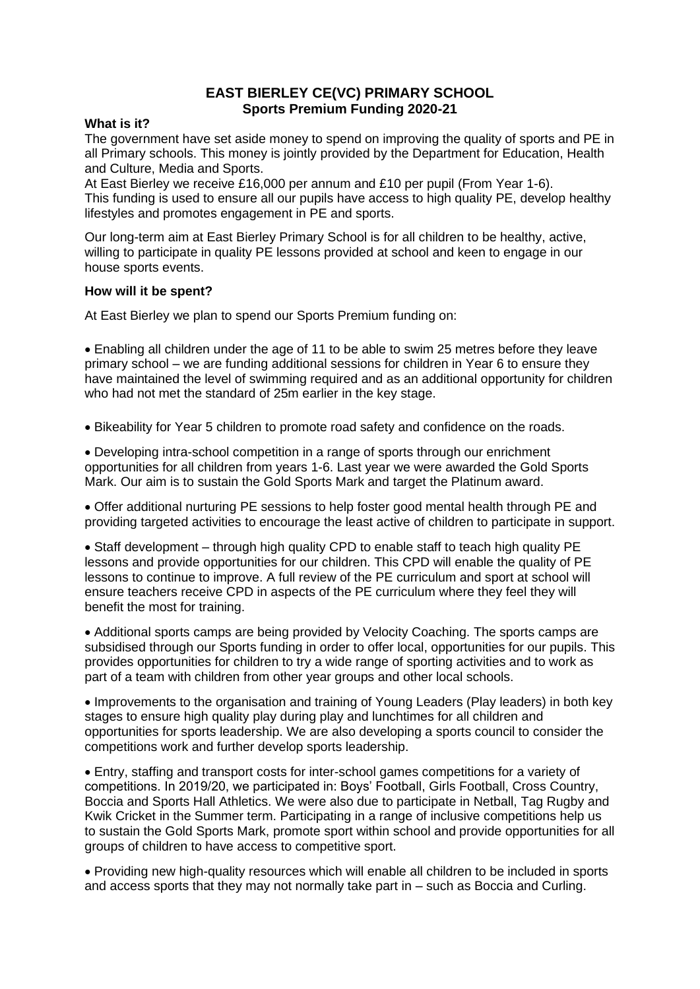## **EAST BIERLEY CE(VC) PRIMARY SCHOOL Sports Premium Funding 2020-21**

## **What is it?**

The government have set aside money to spend on improving the quality of sports and PE in all Primary schools. This money is jointly provided by the Department for Education, Health and Culture, Media and Sports.

At East Bierley we receive £16,000 per annum and £10 per pupil (From Year 1-6). This funding is used to ensure all our pupils have access to high quality PE, develop healthy lifestyles and promotes engagement in PE and sports.

Our long-term aim at East Bierley Primary School is for all children to be healthy, active, willing to participate in quality PE lessons provided at school and keen to engage in our house sports events.

## **How will it be spent?**

At East Bierley we plan to spend our Sports Premium funding on:

• Enabling all children under the age of 11 to be able to swim 25 metres before they leave primary school – we are funding additional sessions for children in Year 6 to ensure they have maintained the level of swimming required and as an additional opportunity for children who had not met the standard of 25m earlier in the key stage.

• Bikeability for Year 5 children to promote road safety and confidence on the roads.

• Developing intra-school competition in a range of sports through our enrichment opportunities for all children from years 1-6. Last year we were awarded the Gold Sports Mark. Our aim is to sustain the Gold Sports Mark and target the Platinum award.

• Offer additional nurturing PE sessions to help foster good mental health through PE and providing targeted activities to encourage the least active of children to participate in support.

• Staff development – through high quality CPD to enable staff to teach high quality PE lessons and provide opportunities for our children. This CPD will enable the quality of PE lessons to continue to improve. A full review of the PE curriculum and sport at school will ensure teachers receive CPD in aspects of the PE curriculum where they feel they will benefit the most for training.

• Additional sports camps are being provided by Velocity Coaching. The sports camps are subsidised through our Sports funding in order to offer local, opportunities for our pupils. This provides opportunities for children to try a wide range of sporting activities and to work as part of a team with children from other year groups and other local schools.

• Improvements to the organisation and training of Young Leaders (Play leaders) in both key stages to ensure high quality play during play and lunchtimes for all children and opportunities for sports leadership. We are also developing a sports council to consider the competitions work and further develop sports leadership.

• Entry, staffing and transport costs for inter-school games competitions for a variety of competitions. In 2019/20, we participated in: Boys' Football, Girls Football, Cross Country, Boccia and Sports Hall Athletics. We were also due to participate in Netball, Tag Rugby and Kwik Cricket in the Summer term. Participating in a range of inclusive competitions help us to sustain the Gold Sports Mark, promote sport within school and provide opportunities for all groups of children to have access to competitive sport.

• Providing new high-quality resources which will enable all children to be included in sports and access sports that they may not normally take part in – such as Boccia and Curling.